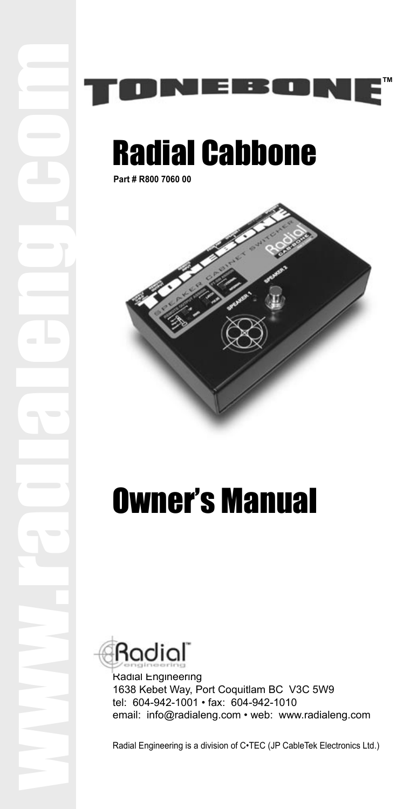



# Radial Cabbone

**Part # R800 7060 00**





Radial Engineering 1638 Kebet Way, Port Coquitlam BC V3C 5W9 tel: 604-942-1001 • fax: 604-942-1010 email: info@radialeng.com • web: www.radialeng.com

Radial Engineering is a division of C•TEC (JP CableTek Electronics Ltd.)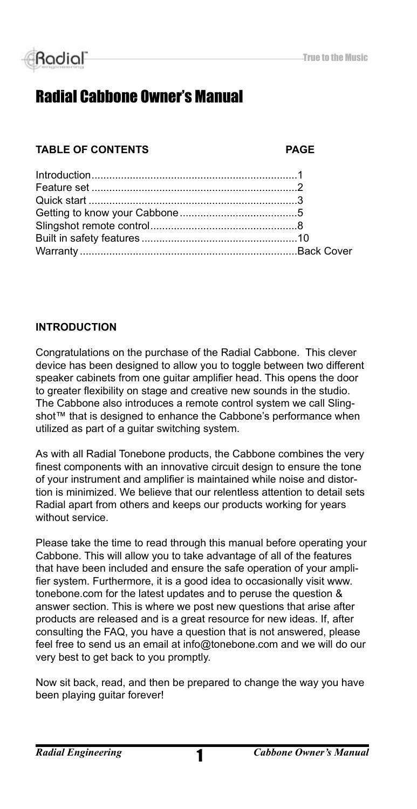

### Radial Cabbone Owner's Manual

#### **TABLE OF CONTENTS PAGE**

#### **INTRODUCTION**

Congratulations on the purchase of the Radial Cabbone. This clever device has been designed to allow you to toggle between two different speaker cabinets from one guitar amplifier head. This opens the door to greater flexibility on stage and creative new sounds in the studio. The Cabbone also introduces a remote control system we call Slingshot™ that is designed to enhance the Cabbone's performance when utilized as part of a guitar switching system.

As with all Radial Tonebone products, the Cabbone combines the very finest components with an innovative circuit design to ensure the tone of your instrument and amplifier is maintained while noise and distortion is minimized. We believe that our relentless attention to detail sets Radial apart from others and keeps our products working for years without service.

Please take the time to read through this manual before operating your Cabbone. This will allow you to take advantage of all of the features that have been included and ensure the safe operation of your amplifier system. Furthermore, it is a good idea to occasionally visit www. tonebone.com for the latest updates and to peruse the question & answer section. This is where we post new questions that arise after products are released and is a great resource for new ideas. If, after consulting the FAQ, you have a question that is not answered, please feel free to send us an email at info@tonebone.com and we will do our very best to get back to you promptly.

Now sit back, read, and then be prepared to change the way you have been playing guitar forever!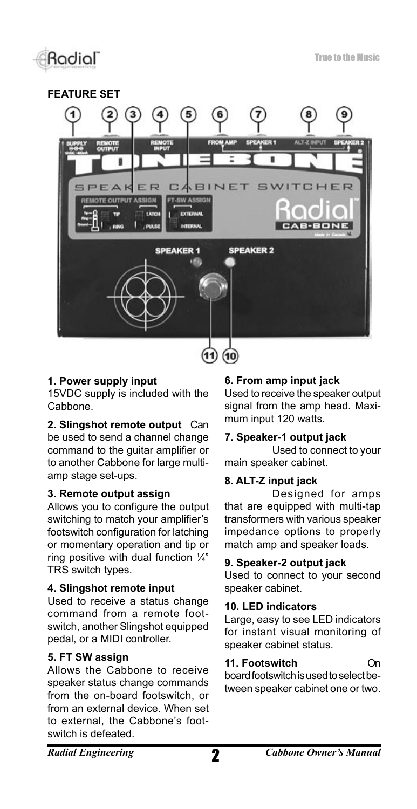#### **FEATURE SET**



#### **1. Power supply input**

15VDC supply is included with the Cabbone.

**2. Slingshot remote output** Can be used to send a channel change command to the guitar amplifier or to another Cabbone for large multiamp stage set-ups.

#### **3. Remote output assign**

Allows you to configure the output switching to match your amplifier's footswitch configuration for latching or momentary operation and tip or ring positive with dual function  $\frac{1}{4}$ " TRS switch types.

#### **4. Slingshot remote input**

Used to receive a status change command from a remote footswitch, another Slingshot equipped pedal, or a MIDI controller.

#### **5. FT SW assign**

Allows the Cabbone to receive speaker status change commands from the on-board footswitch, or from an external device. When set to external, the Cabbone's footswitch is defeated.

#### **6. From amp input jack**

Used to receive the speaker output signal from the amp head. Maximum input 120 watts.

#### **7. Speaker-1 output jack**

 Used to connect to your main speaker cabinet.

#### **8. ALT-Z input jack**

 Designed for amps that are equipped with multi-tap transformers with various speaker impedance options to properly match amp and speaker loads.

#### **9. Speaker-2 output jack**

Used to connect to your second speaker cabinet.

#### **10. LED indicators**

Large, easy to see LED indicators for instant visual monitoring of speaker cabinet status.

#### **11. Footswitch** On

board footswitch is used to select between speaker cabinet one or two.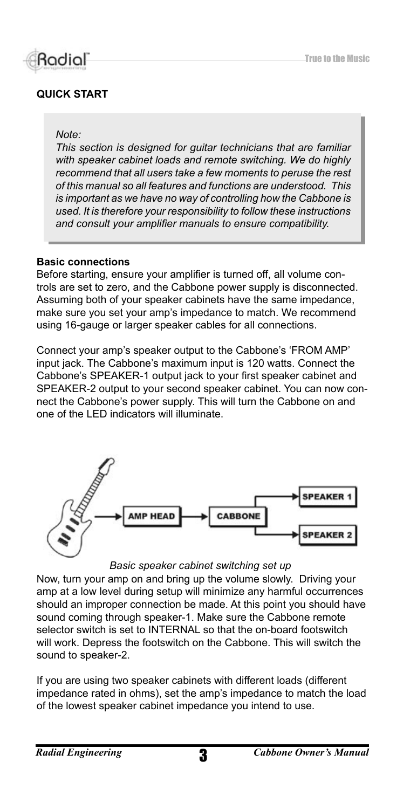

#### **QUICK START**

#### *Note:*

*This section is designed for guitar technicians that are familiar with speaker cabinet loads and remote switching. We do highly recommend that all users take a few moments to peruse the rest of this manual so all features and functions are understood. This is important as we have no way of controlling how the Cabbone is used. It is therefore your responsibility to follow these instructions and consult your amplifier manuals to ensure compatibility.* 

#### **Basic connections**

Before starting, ensure your amplifier is turned off, all volume controls are set to zero, and the Cabbone power supply is disconnected. Assuming both of your speaker cabinets have the same impedance, make sure you set your amp's impedance to match. We recommend using 16-gauge or larger speaker cables for all connections.

Connect your amp's speaker output to the Cabbone's 'FROM AMP' input jack. The Cabbone's maximum input is 120 watts. Connect the Cabbone's SPEAKER-1 output jack to your first speaker cabinet and SPEAKER-2 output to your second speaker cabinet. You can now connect the Cabbone's power supply. This will turn the Cabbone on and one of the LED indicators will illuminate.



#### *Basic speaker cabinet switching set up*

Now, turn your amp on and bring up the volume slowly. Driving your amp at a low level during setup will minimize any harmful occurrences should an improper connection be made. At this point you should have sound coming through speaker-1. Make sure the Cabbone remote selector switch is set to INTERNAL so that the on-board footswitch will work. Depress the footswitch on the Cabbone. This will switch the sound to speaker-2.

If you are using two speaker cabinets with different loads (different impedance rated in ohms), set the amp's impedance to match the load of the lowest speaker cabinet impedance you intend to use.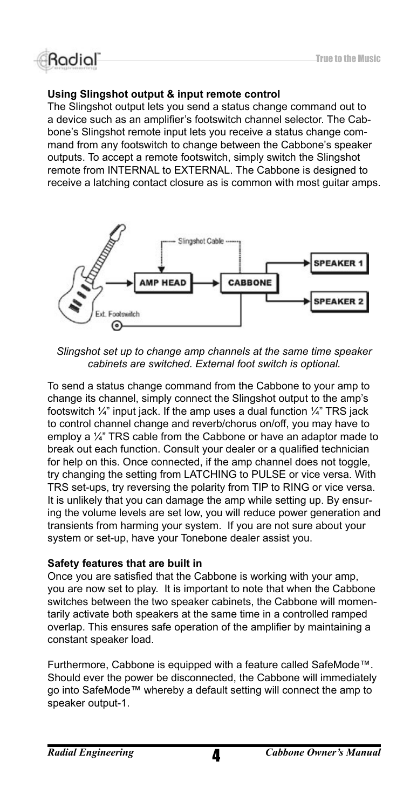#### **Using Slingshot output & input remote control**

The Slingshot output lets you send a status change command out to a device such as an amplifier's footswitch channel selector. The Cabbone's Slingshot remote input lets you receive a status change command from any footswitch to change between the Cabbone's speaker outputs. To accept a remote footswitch, simply switch the Slingshot remote from INTERNAL to EXTERNAL. The Cabbone is designed to receive a latching contact closure as is common with most guitar amps.



*Slingshot set up to change amp channels at the same time speaker cabinets are switched. External foot switch is optional.*

To send a status change command from the Cabbone to your amp to change its channel, simply connect the Slingshot output to the amp's footswitch  $\frac{1}{4}$ " input jack. If the amp uses a dual function  $\frac{1}{4}$ " TRS jack to control channel change and reverb/chorus on/off, you may have to employ a  $\frac{1}{4}$ " TRS cable from the Cabbone or have an adaptor made to break out each function. Consult your dealer or a qualified technician for help on this. Once connected, if the amp channel does not toggle, try changing the setting from LATCHING to PULSE or vice versa. With TRS set-ups, try reversing the polarity from TIP to RING or vice versa. It is unlikely that you can damage the amp while setting up. By ensuring the volume levels are set low, you will reduce power generation and transients from harming your system. If you are not sure about your system or set-up, have your Tonebone dealer assist you.

#### **Safety features that are built in**

Once you are satisfied that the Cabbone is working with your amp, you are now set to play. It is important to note that when the Cabbone switches between the two speaker cabinets, the Cabbone will momentarily activate both speakers at the same time in a controlled ramped overlap. This ensures safe operation of the amplifier by maintaining a constant speaker load.

Furthermore, Cabbone is equipped with a feature called SafeMode™. Should ever the power be disconnected, the Cabbone will immediately go into SafeMode™ whereby a default setting will connect the amp to speaker output-1.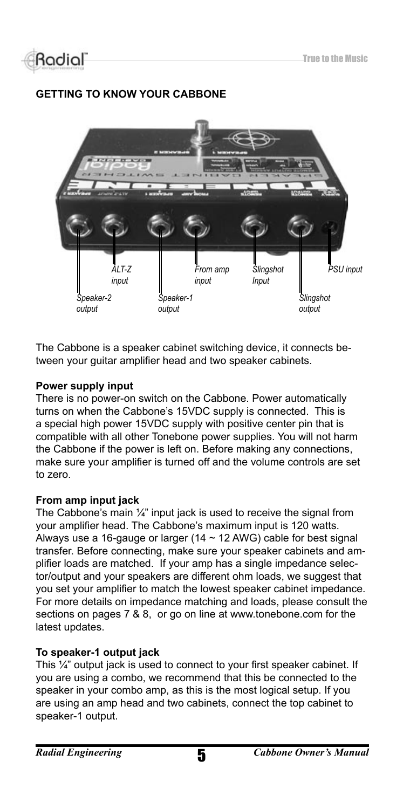

### **GETTING TO KNOW YOUR CABBONE**



The Cabbone is a speaker cabinet switching device, it connects between your guitar amplifier head and two speaker cabinets.

#### **Power supply input**

There is no power-on switch on the Cabbone. Power automatically turns on when the Cabbone's 15VDC supply is connected. This is a special high power 15VDC supply with positive center pin that is compatible with all other Tonebone power supplies. You will not harm the Cabbone if the power is left on. Before making any connections, make sure your amplifier is turned off and the volume controls are set to zero.

#### **From amp input jack**

The Cabbone's main  $\frac{1}{4}$ " input jack is used to receive the signal from your amplifier head. The Cabbone's maximum input is 120 watts. Always use a 16-gauge or larger (14  $\sim$  12 AWG) cable for best signal transfer. Before connecting, make sure your speaker cabinets and amplifier loads are matched. If your amp has a single impedance selector/output and your speakers are different ohm loads, we suggest that you set your amplifier to match the lowest speaker cabinet impedance. For more details on impedance matching and loads, please consult the sections on pages 7 & 8, or go on line at www.tonebone.com for the latest updates.

#### **To speaker-1 output jack**

This ¼" output jack is used to connect to your first speaker cabinet. If you are using a combo, we recommend that this be connected to the speaker in your combo amp, as this is the most logical setup. If you are using an amp head and two cabinets, connect the top cabinet to speaker-1 output.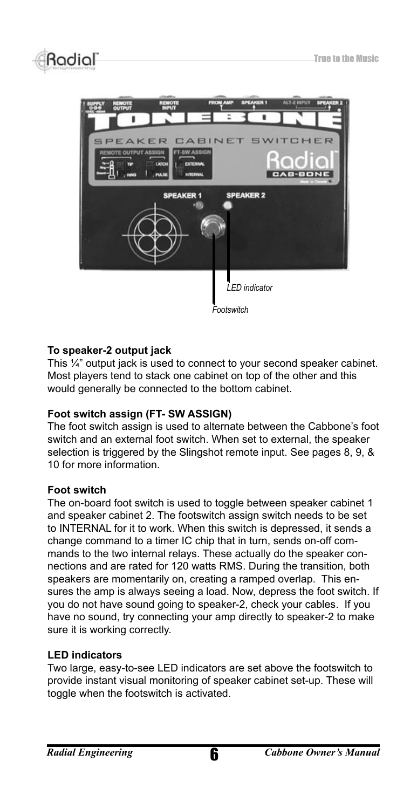

#### **To speaker-2 output jack**

This ¼" output jack is used to connect to your second speaker cabinet. Most players tend to stack one cabinet on top of the other and this would generally be connected to the bottom cabinet.

#### **Foot switch assign (FT- SW ASSIGN)**

The foot switch assign is used to alternate between the Cabbone's foot switch and an external foot switch. When set to external, the speaker selection is triggered by the Slingshot remote input. See pages 8, 9, & 10 for more information.

#### **Foot switch**

The on-board foot switch is used to toggle between speaker cabinet 1 and speaker cabinet 2. The footswitch assign switch needs to be set to INTERNAL for it to work. When this switch is depressed, it sends a change command to a timer IC chip that in turn, sends on-off commands to the two internal relays. These actually do the speaker connections and are rated for 120 watts RMS. During the transition, both speakers are momentarily on, creating a ramped overlap. This ensures the amp is always seeing a load. Now, depress the foot switch. If you do not have sound going to speaker-2, check your cables. If you have no sound, try connecting your amp directly to speaker-2 to make sure it is working correctly.

#### **LED indicators**

Two large, easy-to-see LED indicators are set above the footswitch to provide instant visual monitoring of speaker cabinet set-up. These will toggle when the footswitch is activated.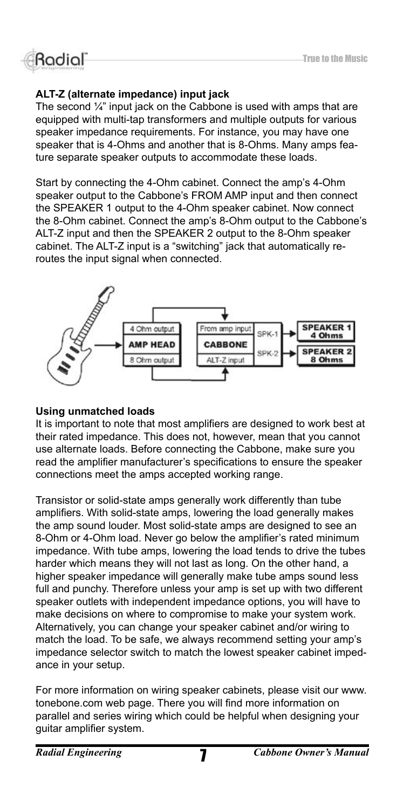### **Rodiol**

### **ALT-Z (alternate impedance) input jack**

The second  $\frac{1}{4}$ " input jack on the Cabbone is used with amps that are equipped with multi-tap transformers and multiple outputs for various speaker impedance requirements. For instance, you may have one speaker that is 4-Ohms and another that is 8-Ohms. Many amps feature separate speaker outputs to accommodate these loads.

Start by connecting the 4-Ohm cabinet. Connect the amp's 4-Ohm speaker output to the Cabbone's FROM AMP input and then connect the SPEAKER 1 output to the 4-Ohm speaker cabinet. Now connect the 8-Ohm cabinet. Connect the amp's 8-Ohm output to the Cabbone's ALT-Z input and then the SPEAKER 2 output to the 8-Ohm speaker cabinet. The ALT-Z input is a "switching" jack that automatically reroutes the input signal when connected.



#### **Using unmatched loads**

It is important to note that most amplifiers are designed to work best at their rated impedance. This does not, however, mean that you cannot use alternate loads. Before connecting the Cabbone, make sure you read the amplifier manufacturer's specifications to ensure the speaker connections meet the amps accepted working range.

Transistor or solid-state amps generally work differently than tube amplifiers. With solid-state amps, lowering the load generally makes the amp sound louder. Most solid-state amps are designed to see an 8-Ohm or 4-Ohm load. Never go below the amplifier's rated minimum impedance. With tube amps, lowering the load tends to drive the tubes harder which means they will not last as long. On the other hand, a higher speaker impedance will generally make tube amps sound less full and punchy. Therefore unless your amp is set up with two different speaker outlets with independent impedance options, you will have to make decisions on where to compromise to make your system work. Alternatively, you can change your speaker cabinet and/or wiring to match the load. To be safe, we always recommend setting your amp's impedance selector switch to match the lowest speaker cabinet impedance in your setup.

For more information on wiring speaker cabinets, please visit our www. tonebone.com web page. There you will find more information on parallel and series wiring which could be helpful when designing your guitar amplifier system.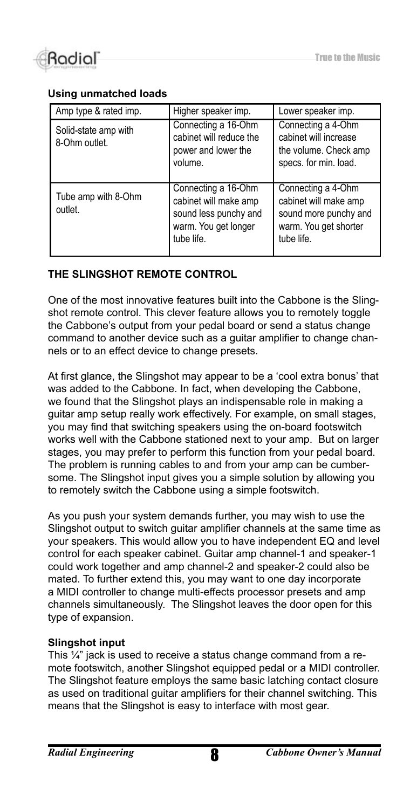

#### **Using unmatched loads**

| Amp type & rated imp.                 | Higher speaker imp.                                                                                         | Lower speaker imp.                                                                                          |
|---------------------------------------|-------------------------------------------------------------------------------------------------------------|-------------------------------------------------------------------------------------------------------------|
| Solid-state amp with<br>8-Ohm outlet. | Connecting a 16-Ohm<br>cabinet will reduce the<br>power and lower the<br>volume.                            | Connecting a 4-Ohm<br>cabinet will increase<br>the volume. Check amp<br>specs. for min. load.               |
| Tube amp with 8-Ohm<br>outlet.        | Connecting a 16-Ohm<br>cabinet will make amp<br>sound less punchy and<br>warm. You get longer<br>tube life. | Connecting a 4-Ohm<br>cabinet will make amp<br>sound more punchy and<br>warm. You get shorter<br>tube life. |

#### **THE SLINGSHOT REMOTE CONTROL**

One of the most innovative features built into the Cabbone is the Slingshot remote control. This clever feature allows you to remotely toggle the Cabbone's output from your pedal board or send a status change command to another device such as a guitar amplifier to change channels or to an effect device to change presets.

At first glance, the Slingshot may appear to be a 'cool extra bonus' that was added to the Cabbone. In fact, when developing the Cabbone, we found that the Slingshot plays an indispensable role in making a guitar amp setup really work effectively. For example, on small stages, you may find that switching speakers using the on-board footswitch works well with the Cabbone stationed next to your amp. But on larger stages, you may prefer to perform this function from your pedal board. The problem is running cables to and from your amp can be cumbersome. The Slingshot input gives you a simple solution by allowing you to remotely switch the Cabbone using a simple footswitch.

As you push your system demands further, you may wish to use the Slingshot output to switch guitar amplifier channels at the same time as your speakers. This would allow you to have independent EQ and level control for each speaker cabinet. Guitar amp channel-1 and speaker-1 could work together and amp channel-2 and speaker-2 could also be mated. To further extend this, you may want to one day incorporate a MIDI controller to change multi-effects processor presets and amp channels simultaneously. The Slingshot leaves the door open for this type of expansion.

#### **Slingshot input**

This ¼" jack is used to receive a status change command from a remote footswitch, another Slingshot equipped pedal or a MIDI controller. The Slingshot feature employs the same basic latching contact closure as used on traditional guitar amplifiers for their channel switching. This means that the Slingshot is easy to interface with most gear.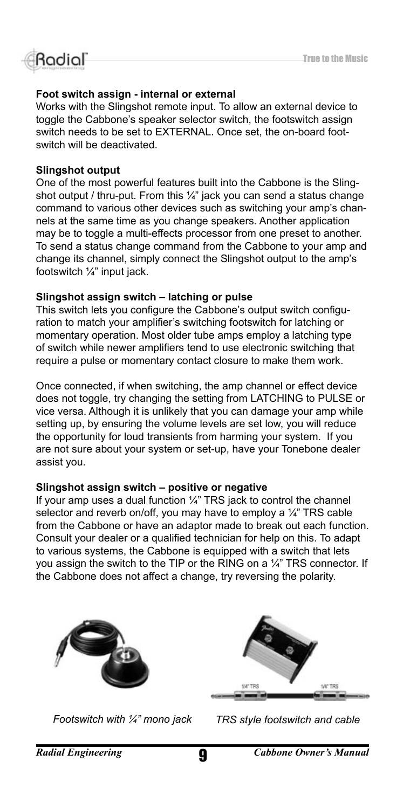

#### **Foot switch assign - internal or external**

Works with the Slingshot remote input. To allow an external device to toggle the Cabbone's speaker selector switch, the footswitch assign switch needs to be set to EXTERNAL. Once set, the on-board footswitch will be deactivated.

#### **Slingshot output**

One of the most powerful features built into the Cabbone is the Slingshot output / thru-put. From this  $\frac{1}{4}$ " jack you can send a status change command to various other devices such as switching your amp's channels at the same time as you change speakers. Another application may be to toggle a multi-effects processor from one preset to another. To send a status change command from the Cabbone to your amp and change its channel, simply connect the Slingshot output to the amp's footswitch ¼" input jack.

#### **Slingshot assign switch – latching or pulse**

This switch lets you configure the Cabbone's output switch configuration to match your amplifier's switching footswitch for latching or momentary operation. Most older tube amps employ a latching type of switch while newer amplifiers tend to use electronic switching that require a pulse or momentary contact closure to make them work.

Once connected, if when switching, the amp channel or effect device does not toggle, try changing the setting from LATCHING to PULSE or vice versa. Although it is unlikely that you can damage your amp while setting up, by ensuring the volume levels are set low, you will reduce the opportunity for loud transients from harming your system. If you are not sure about your system or set-up, have your Tonebone dealer assist you.

#### **Slingshot assign switch – positive or negative**

If your amp uses a dual function ¼" TRS jack to control the channel selector and reverb on/off, you may have to employ a 1/4" TRS cable from the Cabbone or have an adaptor made to break out each function. Consult your dealer or a qualified technician for help on this. To adapt to various systems, the Cabbone is equipped with a switch that lets you assign the switch to the TIP or the RING on a ¼" TRS connector. If the Cabbone does not affect a change, try reversing the polarity.





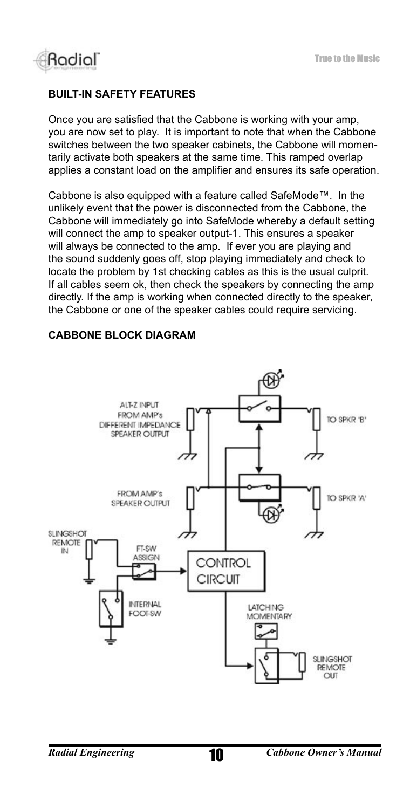

#### **BUILT-IN SAFETY FEATURES**

Once you are satisfied that the Cabbone is working with your amp, you are now set to play. It is important to note that when the Cabbone switches between the two speaker cabinets, the Cabbone will momentarily activate both speakers at the same time. This ramped overlap applies a constant load on the amplifier and ensures its safe operation.

Cabbone is also equipped with a feature called SafeMode™. In the unlikely event that the power is disconnected from the Cabbone, the Cabbone will immediately go into SafeMode whereby a default setting will connect the amp to speaker output-1. This ensures a speaker will always be connected to the amp. If ever you are playing and the sound suddenly goes off, stop playing immediately and check to locate the problem by 1st checking cables as this is the usual culprit. If all cables seem ok, then check the speakers by connecting the amp directly. If the amp is working when connected directly to the speaker, the Cabbone or one of the speaker cables could require servicing.

#### **CABBONE BLOCK DIAGRAM**